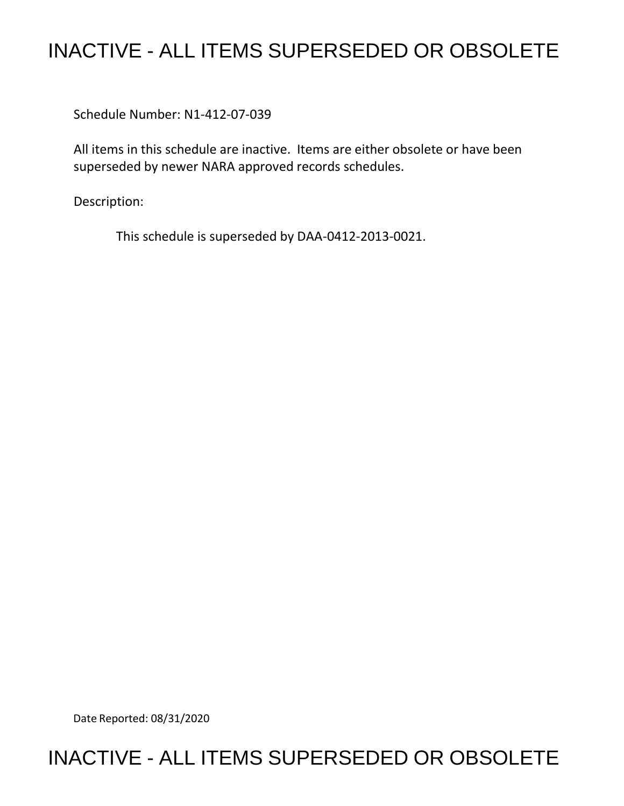# INACTIVE - ALL ITEMS SUPERSEDED OR OBSOLETE

Schedule Number: N1-412-07-039

All items in this schedule are inactive. Items are either obsolete or have been superseded by newer NARA approved records schedules.

Description:

This schedule is superseded by DAA-0412-2013-0021.

Date Reported: 08/31/2020

## INACTIVE - ALL ITEMS SUPERSEDED OR OBSOLETE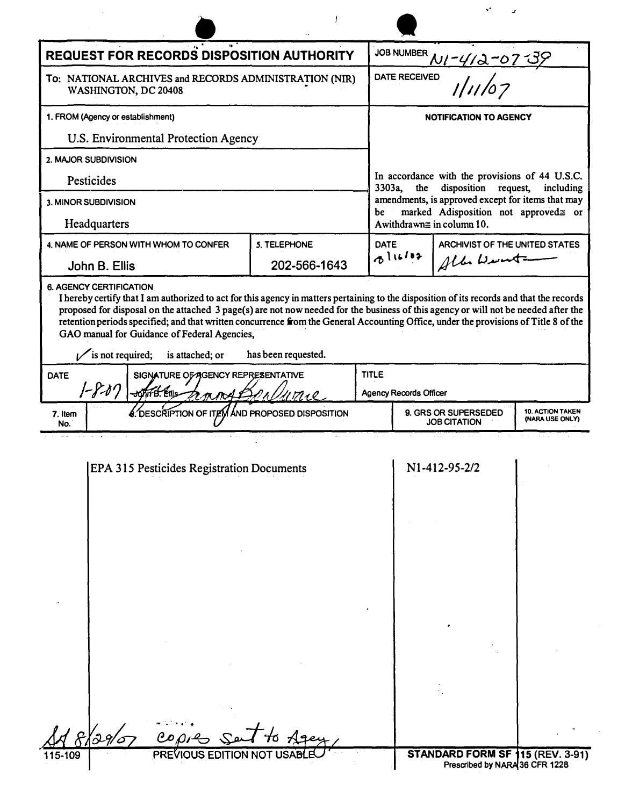| <b>REQUEST FOR RECORDS DISPOSITION AUTHORITY</b>                                    |                                           |                          |              |                                                                            |                                                                        |                                            |
|-------------------------------------------------------------------------------------|-------------------------------------------|--------------------------|--------------|----------------------------------------------------------------------------|------------------------------------------------------------------------|--------------------------------------------|
| To: NATIONAL ARCHIVES and RECORDS ADMINISTRATION (NIR)<br>WASHINGTON, DC 20408      |                                           |                          |              | JOB NUMBER $N1 - 4/3 - 07 - 39$<br>DATE RECEIVED<br>$1/11/07$              |                                                                        |                                            |
| 1. FROM (Agency or establishment)                                                   |                                           |                          |              | <b>NOTIFICATION TO AGENCY</b>                                              |                                                                        |                                            |
|                                                                                     | U.S. Environmental Protection Agency      |                          |              |                                                                            |                                                                        |                                            |
| 2. MAJOR SUBDIVISION                                                                |                                           |                          |              |                                                                            |                                                                        |                                            |
| Pesticides                                                                          |                                           |                          | 3303a,       | the                                                                        | In accordance with the provisions of 44 U.S.C.<br>disposition request, | including                                  |
| 3. MINOR SUBDIVISION                                                                |                                           |                          | be           |                                                                            | amendments, is approved except for items that may                      |                                            |
| Headquarters                                                                        |                                           |                          |              | marked Adisposition not approved= or<br>A withdrawn $\equiv$ in column 10. |                                                                        |                                            |
|                                                                                     | 4. NAME OF PERSON WITH WHOM TO CONFER     | 5. TELEPHONE             |              | <b>DATE</b><br>ARCHIVIST OF THE UNITED STATES<br>0116102<br>All Wint       |                                                                        |                                            |
| John B. Ellis                                                                       |                                           | 202-566-1643             |              |                                                                            |                                                                        |                                            |
| <b>DATE</b><br>SIGNATURE OF AGENCY REPRESENTATIVE<br>$1 - 8 - 07$<br>SofirB. Ellis- |                                           |                          |              |                                                                            |                                                                        |                                            |
|                                                                                     |                                           |                          | <b>TITLE</b> | <b>Agency Records Officer</b>                                              |                                                                        |                                            |
| 7. Item<br>No.                                                                      | <b>é. DESCRIPTION OF ITE</b>              | AND PROPOSED DISPOSITION |              |                                                                            | 9. GRS OR SUPERSEDED<br><b>JOB CITATION</b>                            | <b>10. ACTION TAKEN</b><br>(NARA USE ONLY) |
|                                                                                     | EPA 315 Pesticides Registration Documents |                          |              |                                                                            | N1-412-95-2/2                                                          |                                            |
| 29/5                                                                                | COPR                                      |                          |              |                                                                            |                                                                        |                                            |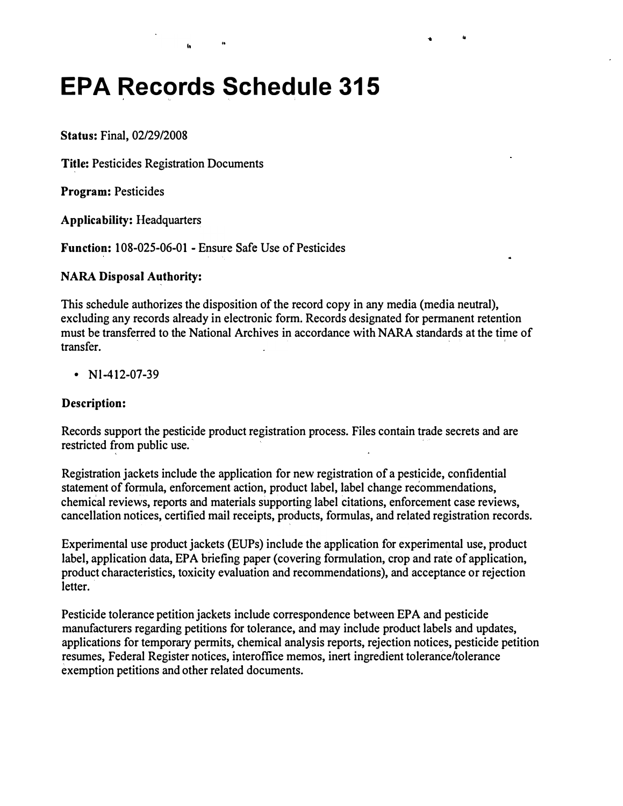# **EPA Records Schedule 315**

**Status: Final, 02/29/2008** 

**Title: Pesticides Registration Documents** 

**Program: Pesticides** 

**Applicability: Headquarters** 

**Function: 108-025-06-01 - Ensure Safe Use of Pesticides** 

#### **NARA Disposal Authority:**

**This schedule authorizes the disposition of the record copy in any media (media neutral), excluding any records already in electronic form. Records designated for permanent retention must be transferred to the National Archives in accordance with NARA standards at the time of transfer.** 

" ..

**• Nl-412-07-39** 

#### **Description:**

**Records support the pesticide product registration process. Files contain trade secrets and are restricted from public use.** 

**Registration jackets include the application for new registration of a pesticide, confidential statement of formula, enforcement action, product label, label change recommendations, chemical reviews, reports and materials supporting label citations, enforcement case reviews, cancellation notices, certified mail receipts, products, formulas, and related registration records.** 

**Experimental use product jackets (EUPs) include the application for experimental use, product label, application data, EPA briefing paper (covering formulation, crop and rate of application, product characteristics, toxicity evaluation and recommendations), and acceptance or rejection letter.** 

**Pesticide tolerance petition jackets include correspondence between EPA and pesticide manufacturers regarding petitions for tolerance, and may include product labels and updates, applications for temporary permits, chemical analysis reports, rejection notices, pesticide petition resumes, Federal Register notices, interoffice memos, inert ingredient tolerance/tolerance exemption petitions and other related documents.**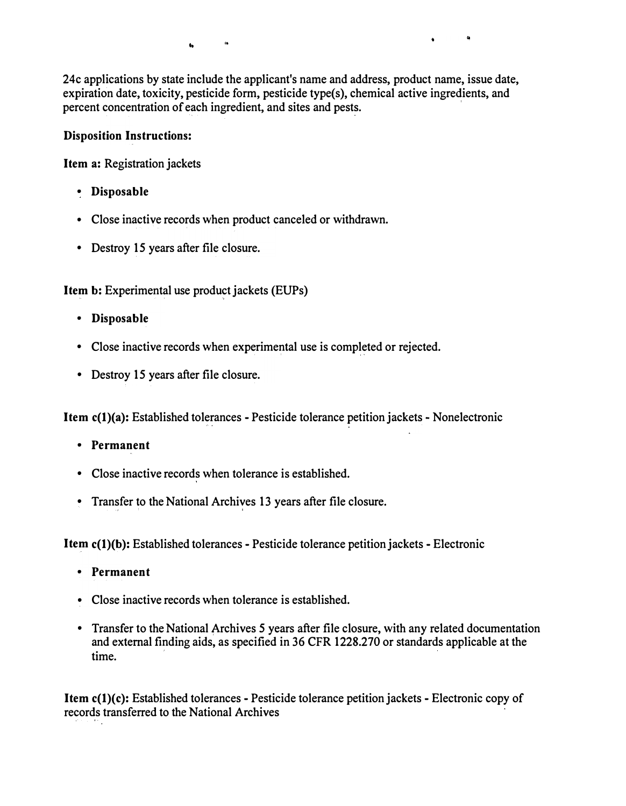"

24c applications by state include the applicant's name and address, product name, issue date, expiration date, toxicity, pesticide form, pesticide type(s), chemical active ingredients, and percent concentration of each ingredient, and sites and pests.

#### **Disposition Instructions:**

**Item a:** Registration jackets

- **Disposable**
- Close inactive records when product canceled or withdrawn.
- Destroy 15 years after file closure.

**Item b:** Experimental use product jackets (EUPs)

- **Disposable**
- Close inactive records when experimental use is completed or rejected.
- Destroy 15 years after file closure.

**Item c(l)(a):** Established tolerances - Pesticide tolerance petition jackets - Nonelectronic

- **Permanent**
- Close inactive records when tolerance is established.
- Transfer to the National Archives 13 years after file closure.

**Item c(l)(b):** Established tolerances - Pesticide tolerance petition jackets - Electronic

- **Permanent**
- Close inactive records when tolerance is established.
- Transfer to the National Archives 5 years after file closure, with any related documentation and external finding aids, as specified in 36 CFR 1228.270 or standards applicable at the time.

**Item c(l)(c):** Established tolerances - Pesticide tolerance petition jackets - Electronic copy of records transferred to the National Archives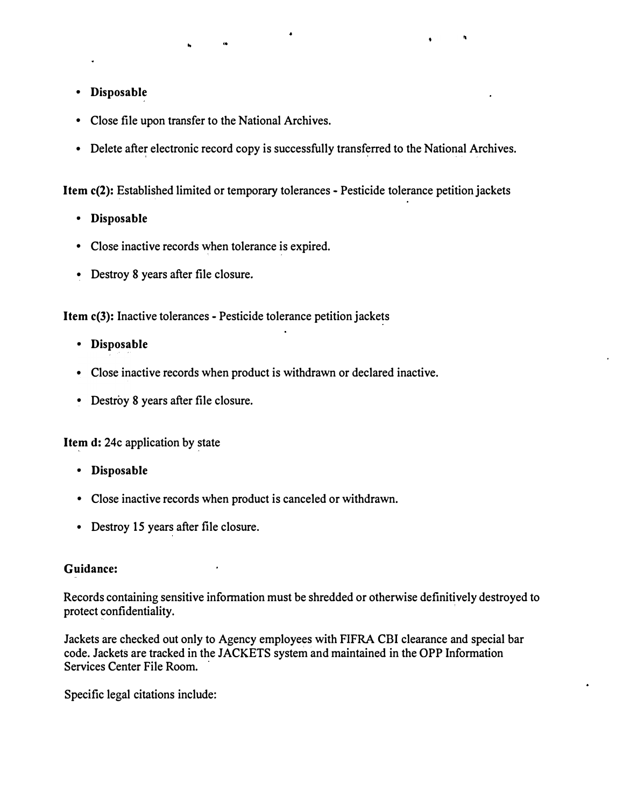- **Disposable**
- Close file upon transfer to the National Archives.
- Delete after electronic record copy is successfully transferred to the National Archives.

**Item c(2):** Established limited or temporary tolerances - Pesticide tolerance petition jackets

- **Disposable**
- Close inactive records when tolerance is expired.
- Destroy 8 years after file closure.

**Item c(3):** Inactive tolerances - Pesticide tolerance petition jackets

- **Disposable**
- Close inactive records when product is withdrawn or declared inactive.
- Destroy 8 years after file closure.

**Item d:** 24c application by state

- **Disposable**
- Close inactive records when product is canceled or withdrawn.
- Destroy 15 years after file closure.

#### **Guidance:**

Records containing sensitive information must be shredded or otherwise definitively destroyed to protect confidentiality.

Jackets are checked out only to Agency employees with FIFRA CBI clearance and special bar code. Jackets are tracked in the JACKETS system and maintained in the OPP Information Services Center File Room.

Specific legal citations include: